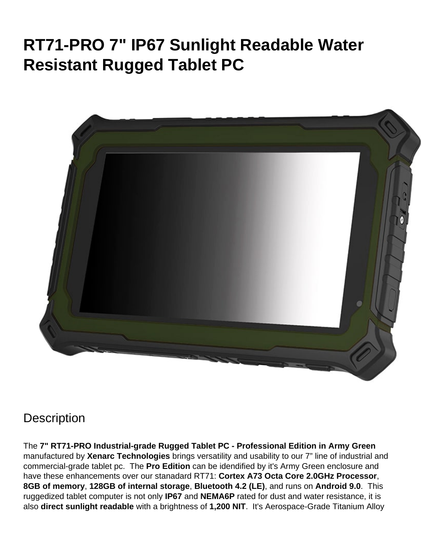# **RT71-PRO 7" IP67 Sunlight Readable Water Resistant Rugged Tablet PC**



## **Description**

The **7" RT71-PRO Industrial-grade Rugged Tablet PC - Professional Edition in Army Green** manufactured by **Xenarc Technologies** brings versatility and usability to our 7" line of industrial and commercial-grade tablet pc. The **Pro Edition** can be idendified by it's Army Green enclosure and have these enhancements over our stanadard RT71: **Cortex A73 Octa Core 2.0GHz Processor**, **8GB of memory**, **128GB of internal storage**, **Bluetooth 4.2 (LE)**, and runs on **Android 9.0**. This ruggedized tablet computer is not only **IP67** and **NEMA6P** rated for dust and water resistance, it is also **direct sunlight readable** with a brightness of **1,200 NIT**. It's Aerospace-Grade Titanium Alloy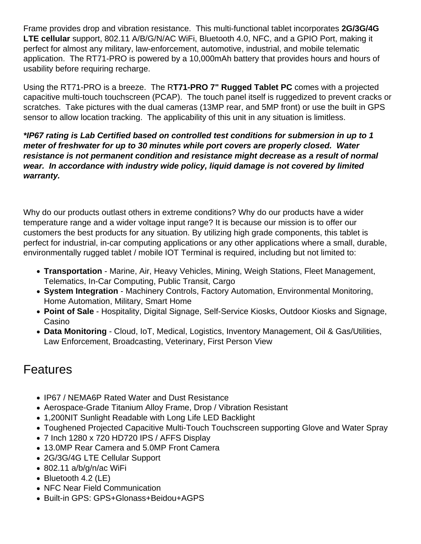Frame provides drop and vibration resistance. This multi-functional tablet incorporates **2G/3G/4G LTE cellular** support, 802.11 A/B/G/N/AC WiFi, Bluetooth 4.0, NFC, and a GPIO Port, making it perfect for almost any military, law-enforcement, automotive, industrial, and mobile telematic application. The RT71-PRO is powered by a 10,000mAh battery that provides hours and hours of usability before requiring recharge.

Using the RT71-PRO is a breeze. The R**T71-PRO 7" Rugged Tablet PC** comes with a projected capacitive multi-touch touchscreen (PCAP). The touch panel itself is ruggedized to prevent cracks or scratches. Take pictures with the dual cameras (13MP rear, and 5MP front) or use the built in GPS sensor to allow location tracking. The applicability of this unit in any situation is limitless.

**\*IP67 rating is Lab Certified based on controlled test conditions for submersion in up to 1 meter of freshwater for up to 30 minutes while port covers are properly closed. Water resistance is not permanent condition and resistance might decrease as a result of normal wear. In accordance with industry wide policy, liquid damage is not covered by limited warranty.**

Why do our products outlast others in extreme conditions? Why do our products have a wider temperature range and a wider voltage input range? It is because our mission is to offer our customers the best products for any situation. By utilizing high grade components, this tablet is perfect for industrial, in-car computing applications or any other applications where a small, durable, environmentally rugged tablet / mobile IOT Terminal is required, including but not limited to:

- **Transportation** Marine, Air, Heavy Vehicles, Mining, Weigh Stations, Fleet Management, Telematics, In-Car Computing, Public Transit, Cargo
- **System Integration** Machinery Controls, Factory Automation, Environmental Monitoring, Home Automation, Military, Smart Home
- **Point of Sale** Hospitality, Digital Signage, Self-Service Kiosks, Outdoor Kiosks and Signage, Casino
- **Data Monitoring** Cloud, IoT, Medical, Logistics, Inventory Management, Oil & Gas/Utilities, Law Enforcement, Broadcasting, Veterinary, First Person View

#### Features

- IP67 / NEMA6P Rated Water and Dust Resistance
- Aerospace-Grade Titanium Alloy Frame, Drop / Vibration Resistant
- 1,200NIT Sunlight Readable with Long Life LED Backlight
- Toughened Projected Capacitive Multi-Touch Touchscreen supporting Glove and Water Spray
- 7 Inch 1280 x 720 HD720 IPS / AFFS Display
- 13.0MP Rear Camera and 5.0MP Front Camera
- 2G/3G/4G LTE Cellular Support
- 802.11 a/b/g/n/ac WiFi
- Bluetooth 4.2 (LE)
- NFC Near Field Communication
- Built-in GPS: GPS+Glonass+Beidou+AGPS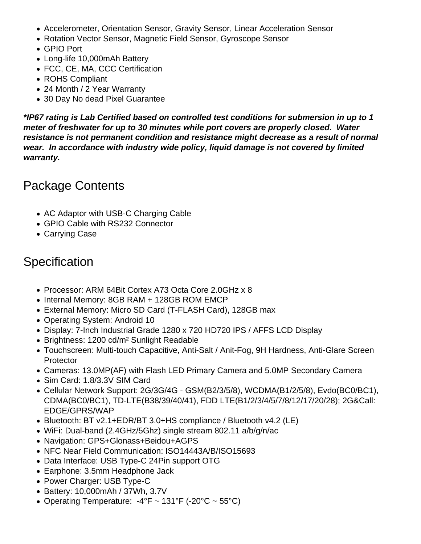- Accelerometer, Orientation Sensor, Gravity Sensor, Linear Acceleration Sensor
- Rotation Vector Sensor, Magnetic Field Sensor, Gyroscope Sensor
- GPIO Port
- Long-life 10,000mAh Battery
- FCC, CE, MA, CCC Certification
- ROHS Compliant
- 24 Month / 2 Year Warranty
- 30 Day No dead Pixel Guarantee

**\*IP67 rating is Lab Certified based on controlled test conditions for submersion in up to 1 meter of freshwater for up to 30 minutes while port covers are properly closed. Water resistance is not permanent condition and resistance might decrease as a result of normal wear. In accordance with industry wide policy, liquid damage is not covered by limited warranty.**

## Package Contents

- AC Adaptor with USB-C Charging Cable
- GPIO Cable with RS232 Connector
- Carrying Case

# **Specification**

- Processor: ARM 64Bit Cortex A73 Octa Core 2.0GHz x 8
- Internal Memory: 8GB RAM + 128GB ROM EMCP
- External Memory: Micro SD Card (T-FLASH Card), 128GB max
- Operating System: Android 10
- Display: 7-Inch Industrial Grade 1280 x 720 HD720 IPS / AFFS LCD Display
- Brightness: 1200 cd/m<sup>2</sup> Sunlight Readable
- Touchscreen: Multi-touch Capacitive, Anti-Salt / Anit-Fog, 9H Hardness, Anti-Glare Screen **Protector**
- Cameras: 13.0MP(AF) with Flash LED Primary Camera and 5.0MP Secondary Camera
- Sim Card: 1.8/3.3V SIM Card
- Cellular Network Support: 2G/3G/4G GSM(B2/3/5/8), WCDMA(B1/2/5/8), Evdo(BC0/BC1), CDMA(BC0/BC1), TD-LTE(B38/39/40/41), FDD LTE(B1/2/3/4/5/7/8/12/17/20/28); 2G&Call: EDGE/GPRS/WAP
- Bluetooth: BT v2.1+EDR/BT 3.0+HS compliance / Bluetooth v4.2 (LE)
- WiFi: Dual-band (2.4GHz/5Ghz) single stream 802.11 a/b/g/n/ac
- Navigation: GPS+Glonass+Beidou+AGPS
- NFC Near Field Communication: ISO14443A/B/ISO15693
- Data Interface: USB Type-C 24Pin support OTG
- Earphone: 3.5mm Headphone Jack
- Power Charger: USB Type-C
- Battery: 10,000mAh / 37Wh, 3.7V
- Operating Temperature:  $-4^{\circ}F \sim 131^{\circ}F (-20^{\circ}C \sim 55^{\circ}C)$